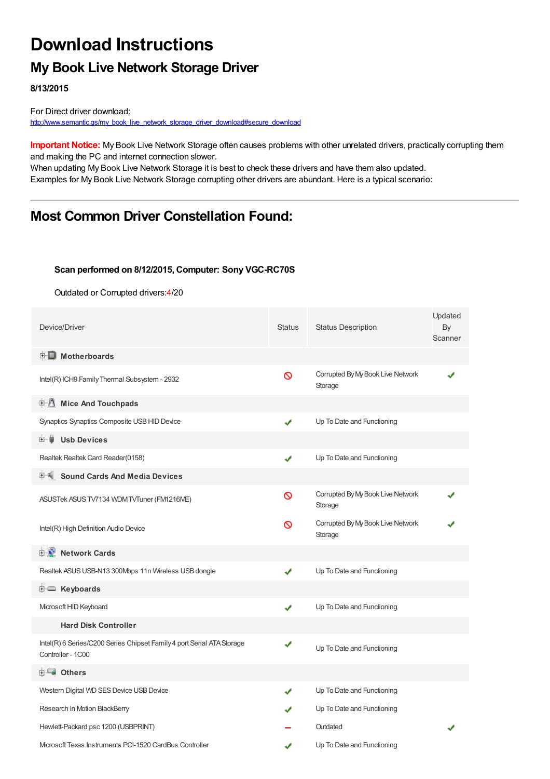## **Download Instructions**

## **My Book Live Network Storage Driver**

**8/13/2015**

For Direct driver download: [http://www.semantic.gs/my\\_book\\_live\\_network\\_storage\\_driver\\_download#secure\\_download](http://www.semantic.gs/my_book_live_network_storage_driver_download#secure_download)

**Important Notice:** My Book Live Network Storage often causes problems with other unrelated drivers, practically corrupting them and making the PC and internet connection slower.

When updating My Book Live Network Storage it is best to check these drivers and have them also updated. Examples for My Book Live Network Storage corrupting other drivers are abundant. Here is a typical scenario:

### **Most Common Driver Constellation Found:**

#### **Scan performed on 8/12/2015, Computer: Sony VGC-RC70S**

Outdated or Corrupted drivers:4/20

| Device/Driver                                                                               | <b>Status</b> | <b>Status Description</b>                    | Updated<br>By<br>Scanner |
|---------------------------------------------------------------------------------------------|---------------|----------------------------------------------|--------------------------|
| <b>E</b> Motherboards                                                                       |               |                                              |                          |
| Intel(R) ICH9 Family Thermal Subsystem - 2932                                               | ∾             | Corrupted By My Book Live Network<br>Storage |                          |
| <b>E</b> Mice And Touchpads                                                                 |               |                                              |                          |
| Synaptics Synaptics Composite USB HID Device                                                | ✔             | Up To Date and Functioning                   |                          |
| <b>Usb Devices</b><br>田…自                                                                   |               |                                              |                          |
| Realtek Realtek Card Reader(0158)                                                           | ✔             | Up To Date and Functioning                   |                          |
| <b>Sound Cards And Media Devices</b>                                                        |               |                                              |                          |
| ASUSTek ASUS TV7134 WDM TVTuner (FM1216ME)                                                  | ര             | Corrupted By My Book Live Network<br>Storage |                          |
| Intel(R) High Definition Audio Device                                                       | ∾             | Corrupted By My Book Live Network<br>Storage |                          |
| <b>E-9</b> Network Cards                                                                    |               |                                              |                          |
| Realtek ASUS USB-N13 300Mbps 11n Wireless USB dongle                                        | J             | Up To Date and Functioning                   |                          |
| E Keyboards                                                                                 |               |                                              |                          |
| Microsoft HID Keyboard                                                                      | ✔             | Up To Date and Functioning                   |                          |
| <b>Hard Disk Controller</b>                                                                 |               |                                              |                          |
| Intel(R) 6 Series/C200 Series Chipset Family 4 port Serial ATA Storage<br>Controller - 1C00 | ✔             | Up To Date and Functioning                   |                          |
| <b>E</b> Others                                                                             |               |                                              |                          |
| Western Digital WD SES Device USB Device                                                    | ✔             | Up To Date and Functioning                   |                          |
| Research In Motion BlackBerry                                                               |               | Up To Date and Functioning                   |                          |
| Hewlett-Packard psc 1200 (USBPRINT)                                                         |               | Outdated                                     |                          |
| Microsoft Texas Instruments PCI-1520 CardBus Controller                                     |               | Up To Date and Functioning                   |                          |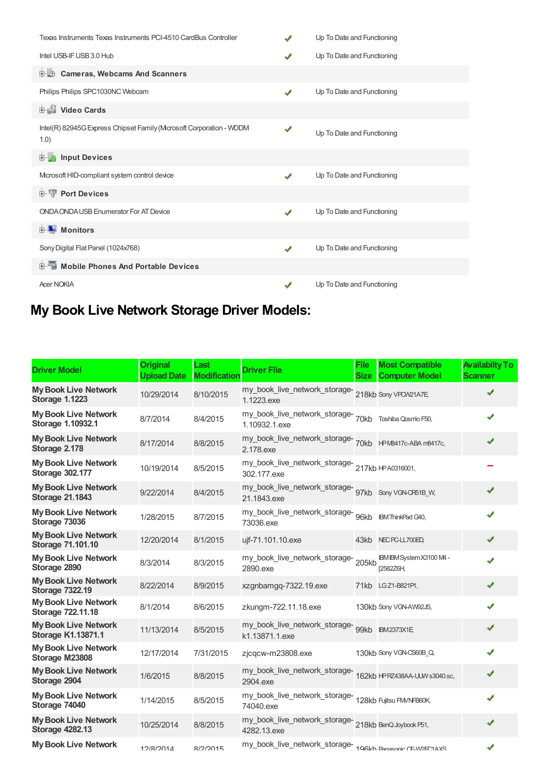| Texas Instruments Texas Instruments PCI-4510 CardBus Controller              |   | Up To Date and Functioning |
|------------------------------------------------------------------------------|---|----------------------------|
| Intel USB-IF USB 3.0 Hub                                                     |   | Up To Date and Functioning |
| <b>D</b> Cameras, Webcams And Scanners                                       |   |                            |
| Philips Philips SPC1030NC Webcam                                             |   | Up To Date and Functioning |
| Video Cards                                                                  |   |                            |
| Intel(R) 82945G Express Chipset Family (Mcrosoft Corporation - WDDM<br>(1.0) | ✔ | Up To Date and Functioning |
| <b>E</b> Input Devices                                                       |   |                            |
| Microsoft HID-compliant system control device                                |   | Up To Date and Functioning |
| <b>E-</b> Port Devices                                                       |   |                            |
| ONDA ONDA USB Enumerator For AT Device                                       |   | Up To Date and Functioning |
| <b>□ ■ Monitors</b>                                                          |   |                            |
| Sony Digital Flat Panel (1024x768)                                           | ✔ | Up To Date and Functioning |
| <b>E-</b> Mobile Phones And Portable Devices                                 |   |                            |
| <b>Acer NOKIA</b>                                                            |   | Up To Date and Functioning |

# **My Book Live Network Storage Driver Models:**

| <b>Driver Model</b>                                      | <b>Original</b><br><b>Upload Date</b> | Last<br><b>Modification</b> | <b>Driver File</b>                                                         | <b>File</b><br><b>Size</b> | <b>Most Compatible</b><br><b>Computer Model</b> | <b>Availabilty To</b><br><b>Scanner</b> |
|----------------------------------------------------------|---------------------------------------|-----------------------------|----------------------------------------------------------------------------|----------------------------|-------------------------------------------------|-----------------------------------------|
| <b>My Book Live Network</b><br><b>Storage 1.1223</b>     | 10/29/2014                            | 8/10/2015                   | my_book_live_network_storage-<br>218kb Sony VPOW21A7E,<br>1.1223.exe       |                            |                                                 | ✔                                       |
| <b>My Book Live Network</b><br>Storage 1.10932.1         | 8/7/2014                              | 8/4/2015                    | my_book_live_network_storage-<br>70kb Toshiba Qosmio F50,<br>1.10932.1.exe |                            |                                                 | ✔                                       |
| <b>My Book Live Network</b><br>Storage 2.178             | 8/17/2014                             | 8/8/2015                    | 2.178.exe                                                                  |                            |                                                 | ✔                                       |
| <b>My Book Live Network</b><br><b>Storage 302.177</b>    | 10/19/2014                            | 8/5/2015                    | my_book_live_network_storage-<br>217kb HPA0316001,<br>302.177.exe          |                            |                                                 |                                         |
| <b>My Book Live Network</b><br><b>Storage 21.1843</b>    | 9/22/2014                             | 8/4/2015                    | my_book_live_network_storage-<br>97kb Sony VGN-0F51B_W,<br>21.1843.exe     |                            |                                                 | ✔                                       |
| <b>My Book Live Network</b><br>Storage 73036             | 1/28/2015                             | 8/7/2015                    | my_book_live_network_storage-<br>96kb BMThinkPad G40,<br>73036.exe         |                            |                                                 | ✔                                       |
| <b>My Book Live Network</b><br><b>Storage 71.101.10</b>  | 12/20/2014                            | 8/1/2015                    | ujf-71.101.10.exe                                                          |                            | 43kb NEC PC-LL700ED,                            | ✔                                       |
| <b>My Book Live Network</b><br>Storage 2890              | 8/3/2014                              | 8/3/2015                    | my_book_live_network_storage-<br>205kb<br>2890.exe                         |                            | IBM IBM System X3100 M4 -<br>[2582Z6H           | ✔                                       |
| <b>My Book Live Network</b><br><b>Storage 7322.19</b>    | 8/22/2014                             | 8/9/2015                    | xzgnbamgq-7322.19.exe                                                      |                            | 71kb LGZ1-B821P1,                               | ✔                                       |
| <b>My Book Live Network</b><br>Storage 722.11.18         | 8/1/2014                              | 8/6/2015                    | zkungm-722.11.18.exe                                                       |                            | 130kb Sony VGN-AW92JS,                          | ✔                                       |
| <b>My Book Live Network</b><br><b>Storage K1.13871.1</b> | 11/13/2014                            | 8/5/2015                    | my_book_live_network_storage- 99kb BM2373X1E,<br>k1.13871.1.exe            |                            |                                                 | ✔                                       |
| <b>My Book Live Network</b><br>Storage M23808            | 12/17/2014                            | 7/31/2015                   | zjcqcw-m23808.exe                                                          |                            | 130kb Sony VGN-CS60B_Q,                         | ✔                                       |
| <b>My Book Live Network</b><br>Storage 2904              | 1/6/2015                              | 8/8/2015                    | 2904.exe                                                                   |                            |                                                 | ✔                                       |
| <b>My Book Live Network</b><br>Storage 74040             | 1/14/2015                             | 8/5/2015                    | my_book_live_network_storage-<br>128kb Fujitsu FMNFB60K,<br>74040.exe      |                            |                                                 | ✔                                       |
| <b>My Book Live Network</b><br><b>Storage 4282.13</b>    | 10/25/2014                            | 8/8/2015                    | my_book_live_network_storage-<br>218kb BenQ Joybook P51,<br>4282.13.exe    |                            |                                                 | ✔                                       |
| <b>My Book Live Network</b>                              | 12/8/2014                             | R/2/2015                    | my_book_live_network_storage-198kh Panasonic CE-WDFC1AXS                   |                            |                                                 | ✔                                       |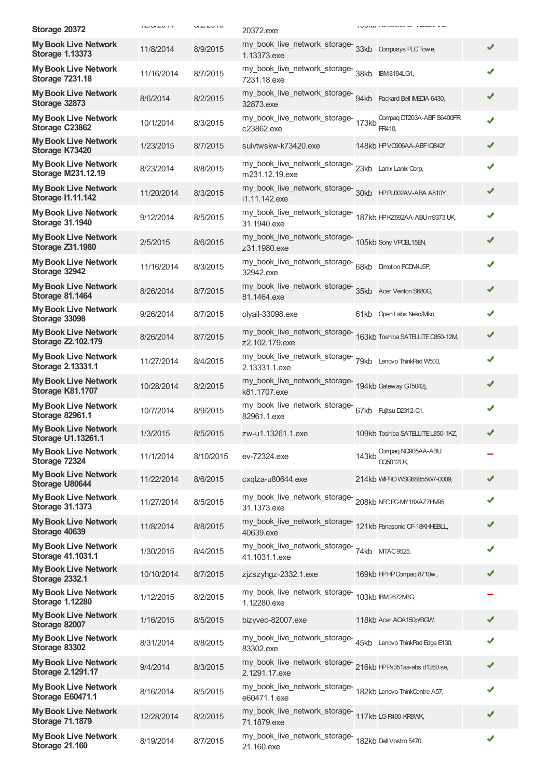| Storage 20372                                            | $\begin{array}{c}\n\mathbf{r} & \mathbf{r} & \mathbf{r} & \mathbf{r} \\ \mathbf{r} & \mathbf{r} & \mathbf{r} & \mathbf{r} \\ \mathbf{r} & \mathbf{r} & \mathbf{r} & \mathbf{r}\n\end{array}$ | U1 U1 U1  | 20372.exe                                                                          |       | I UUINI I GIROOTING OF TELLUITUM.      |   |
|----------------------------------------------------------|----------------------------------------------------------------------------------------------------------------------------------------------------------------------------------------------|-----------|------------------------------------------------------------------------------------|-------|----------------------------------------|---|
| <b>My Book Live Network</b><br><b>Storage 1.13373</b>    | 11/8/2014                                                                                                                                                                                    | 8/9/2015  | my_book_live_network_storage-<br>33kb    Compusys PLC Towe,<br>1.13373.exe         |       |                                        | ✔ |
| <b>My Book Live Network</b><br><b>Storage 7231.18</b>    | 11/16/2014                                                                                                                                                                                   | 8/7/2015  | my_book_live_network_storage-<br>38kb IBM8184LG1,<br>7231.18.exe                   |       |                                        | ✔ |
| <b>My Book Live Network</b><br>Storage 32873             | 8/6/2014                                                                                                                                                                                     | 8/2/2015  | my_book_live_network_storage-<br>94kb    Packard Bell IVEDA 6430,<br>32873.exe     |       |                                        | ✔ |
| <b>My Book Live Network</b><br>Storage C23862            | 10/1/2014                                                                                                                                                                                    | 8/3/2015  | my_book_live_network_storage-<br>173kb<br>c23862.exe                               |       | Compag DT203A-ABF S6400FR<br>FR410.    | ✔ |
| <b>My Book Live Network</b><br>Storage K73420            | 1/23/2015                                                                                                                                                                                    | 8/7/2015  | sulvtwskw-k73420.exe                                                               |       | 148kb HPVC906AA-ABFIQ842f,             | ✔ |
| <b>My Book Live Network</b><br><b>Storage M231.12.19</b> | 8/23/2014                                                                                                                                                                                    | 8/8/2015  | my_book_live_network_storage-23kb<br>m231.12.19.exe                                |       | Lanix Lanix Corp,                      | ✔ |
| <b>My Book Live Network</b><br><b>Storage I1.11.142</b>  | 11/20/2014                                                                                                                                                                                   | 8/3/2015  | my_book_live_network_storage-<br>30kb HPRJ002AV-ABA A810Y,<br>i1.11.142.exe        |       |                                        | ✔ |
| <b>My Book Live Network</b><br><b>Storage 31.1940</b>    | 9/12/2014                                                                                                                                                                                    | 8/5/2015  | my_book_live_network_storage-<br>187kb HPKZ692AA-ABUm9373.UK,<br>31.1940.exe       |       |                                        | ✔ |
| <b>My Book Live Network</b><br><b>Storage Z31.1980</b>   | 2/5/2015                                                                                                                                                                                     | 8/6/2015  | my_book_live_network_storage-<br>105kb Sony VPCE15EN,<br>z31.1980.exe              |       |                                        | ✔ |
| <b>My Book Live Network</b><br>Storage 32942             | 11/16/2014                                                                                                                                                                                   | 8/3/2015  | my_book_live_network_storage-<br>68kb Dimotion PCDMAJ5P,<br>32942.exe              |       |                                        | ✔ |
| <b>My Book Live Network</b><br><b>Storage 81.1464</b>    | 8/26/2014                                                                                                                                                                                    | 8/7/2015  | my_book_live_network_storage-<br>35kb Acer Veriton S680G,<br>81.1464.exe           |       |                                        | ✔ |
| <b>My Book Live Network</b><br>Storage 33098             | 9/26/2014                                                                                                                                                                                    | 8/7/2015  | olyail-33098.exe                                                                   |       | 61kb Open Labs Neko/Mko,               | ✔ |
| <b>My Book Live Network</b><br>Storage Z2.102.179        | 8/26/2014                                                                                                                                                                                    | 8/7/2015  | my_book_live_network_storage-<br>163kb Toshiba SATELITE C850-12M<br>z2.102.179.exe |       |                                        | ✔ |
| <b>My Book Live Network</b><br>Storage 2.13331.1         | 11/27/2014                                                                                                                                                                                   | 8/4/2015  | my_book_live_network_storage-<br>79kb Lenovo ThinkPad W500,<br>2.13331.1.exe       |       |                                        | ✔ |
| <b>My Book Live Network</b><br>Storage K81.1707          | 10/28/2014                                                                                                                                                                                   | 8/2/2015  | my_book_live_network_storage-<br>194kb Gateway GT5042j,<br>k81.1707.exe            |       |                                        | ✔ |
| <b>My Book Live Network</b><br><b>Storage 82961.1</b>    | 10/7/2014                                                                                                                                                                                    | 8/9/2015  | my_book_live_network_storage-<br>67kb Fujitsu D2312-C1,<br>82961.1.exe             |       |                                        | ✔ |
| <b>My Book Live Network</b><br><b>Storage U1.13261.1</b> | 1/3/2015                                                                                                                                                                                     | 8/5/2015  | zw-u1.13261.1.exe                                                                  |       | 109kb Toshiba SATELLITE L850-1KZ,      |   |
| <b>My Book Live Network</b><br>Storage 72324             | 11/1/2014                                                                                                                                                                                    | 8/10/2015 | ev-72324.exe                                                                       | 143kb | Compaq NQ905AA-ABU<br><b>CQ5012UK,</b> |   |
| <b>My Book Live Network</b><br>Storage U80644            | 11/22/2014                                                                                                                                                                                   | 8/6/2015  | cxqlza-u80644.exe                                                                  |       | 214kb WIPRO WSG68B55W7-0009,           |   |
| <b>My Book Live Network</b><br><b>Storage 31.1373</b>    | 11/27/2014                                                                                                                                                                                   | 8/5/2015  | my_book_live_network_storage-<br>208kb NECPC-MY18XAZ7HV95,<br>31.1373.exe          |       |                                        |   |
| <b>My Book Live Network</b><br>Storage 40639             | 11/8/2014                                                                                                                                                                                    | 8/8/2015  | my_book_live_network_storage-<br>121kb Panasonic CF-18KHEBLL,<br>40639.exe         |       |                                        | ✔ |
| <b>My Book Live Network</b><br>Storage 41.1031.1         | 1/30/2015                                                                                                                                                                                    | 8/4/2015  | my_book_live_network_storage-<br>41.1031.1.exe                                     |       | 74kb MTAC 9525,                        | ✔ |
| <b>My Book Live Network</b><br><b>Storage 2332.1</b>     | 10/10/2014                                                                                                                                                                                   | 8/7/2015  | zjzszyhgz-2332.1.exe                                                               |       | 169kb HPHP Compaq 8710w,               | ✔ |
| <b>My Book Live Network</b><br><b>Storage 1.12280</b>    | 1/12/2015                                                                                                                                                                                    | 8/2/2015  | my_book_live_network_storage-<br>1.12280.exe                                       |       | 103kb IBM2672MBG,                      |   |
| <b>My Book Live Network</b><br>Storage 82007             | 1/16/2015                                                                                                                                                                                    | 8/5/2015  | bizyvec-82007.exe                                                                  |       | 118kb Acer AOA150p/BGW,                | ✔ |
| <b>My Book Live Network</b><br>Storage 83302             | 8/31/2014                                                                                                                                                                                    | 8/8/2015  | my_book_live_network_storage-45kb Lenovo ThinkPad Edge E130,<br>83302.exe          |       |                                        | ✔ |
| <b>My Book Live Network</b><br><b>Storage 2.1291.17</b>  | 9/4/2014                                                                                                                                                                                     | 8/3/2015  | my_book_live_network_storage-<br>216kb HPPs351aa-abs d1260.se,<br>2.1291.17.exe    |       |                                        | ✔ |
| <b>My Book Live Network</b><br>Storage E60471.1          | 8/16/2014                                                                                                                                                                                    | 8/5/2015  | my_book_live_network_storage-<br>182kb Lenovo ThinkCentre A57,<br>e60471.1.exe     |       |                                        | √ |
| <b>My Book Live Network</b><br><b>Storage 71.1879</b>    | 12/28/2014                                                                                                                                                                                   | 8/2/2015  | my_book_live_network_storage-117kb LGR490-KR8WK,<br>71.1879.exe                    |       |                                        | ✔ |
| <b>My Book Live Network</b><br><b>Storage 21.160</b>     | 8/19/2014                                                                                                                                                                                    | 8/7/2015  | my_book_live_network_storage-<br>182kb Dell Vostro 5470,<br>21.160.exe             |       |                                        | √ |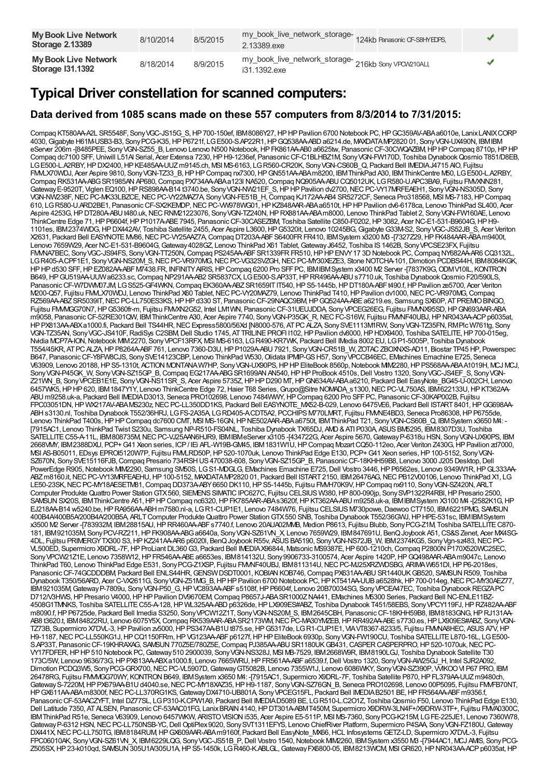| <b>My Book Live Network</b><br><b>Storage 2.13389</b>  | 8/10/2014 | 8/5/2015 | my_book_live_network_storage-124kb Panasonic CF-S8HYEDPS,<br>2.13389.exe |  |
|--------------------------------------------------------|-----------|----------|--------------------------------------------------------------------------|--|
| <b>My Book Live Network</b><br><b>Storage 131.1392</b> | 8/18/2014 | 8/9/2015 | my_book_live_network_storage-<br>216kb Sony VPOW210ALI,<br>i31.1392.exe  |  |

### **Typical Driver constellation for scanned computers:**

#### **Data derived from 1085 scans made on these 557 computers from 8/3/2014 to 7/31/2015:**

Compaq KT580AA-A2L SR5548F, SonyVGC-JS15G\_S,HP700-150ef, IBM8086Y27,HPHPPavilion 6700 Notebook PC,HPGC359AV-ABAa6010e, LanixLANIXCORP 4030,Gigabyte H61M-USB3-B3, SonyPCG-K35,HPP6721f, LGE500-S.AP22R1,HPGQ538AA-ABDa6214.de, MAXDATAMP2820 01, SonyVGN-UX490N, IBMIBM eServer 206m -[8485PEE, SonyVGN-SZ55\_B, Lenovo Lenovo N500 Notebook,HPFK861AA-AB0 a6625tw, PanasonicCF-30CWQAZBM,HPHPCompaq 8710p,HPHP Compaq dc7100 SFF, Uniwill L51AI Serial, Acer Extensa 7230, HP H9-1236ef, Panasonic CF-C1BLHBZ1M, Sony VGN-FW170D, Toshiba Dynabook Qosmio T851/D8EB, LGE500-L.A2RBY,HPDX2400,HPKE485AA-UUZm9145.ch, MSI MS-6163, LGR560-CR20K, SonyVGN-CS60B\_Q, Packard Bell IMEDIAJ4715 AIO, Fujitsu FMLX70WDJ, Acer Aspire 9810, Sony VGN-TZ33\_B, HP HP Compaq nx7300, HP GN551AA-ABA m8200, IBM ThinkPad A30, IBM ThinkCentre M50, LG E500-L.A2RBY, Compaq RK531AA-ABGSR1985ANAP680,Compaq PX734AA-ABAa123l NA520,Compaq NQ905AA-ABUCQ5012UK, LGR580-U.APC3BA9, Fujitsu FMVXNN281, Gateway E-9520T, Viglen EQ100, HP RS898AA-B14 t3740.be, Sony VGN-NW21EF S, HP HP Pavilion dv2700, NEC PC-VY17MRFEAEH1, Sony VGN-NS305D, Sony VGN-NW238F, NEC PC-MK33LBZCE, NEC PC-VY22MAZ7A, Sony VGN-FE51B\_H, Compaq KJ172AA-AB4 SR5272CF, Seneca Pro318568, MSI MS-7183, HP Compaq 610, LGR580-U.ARD2BE1, PanasonicCF-SX2KEMDP,NECPC-VW978WG01,HPKZ848AAR-ABAa6510t,HPHPPavilion dv6-6178ca, Lenovo ThinkPad SL400, Acer Aspire 4253G, HP DT280A-ABU t480.uk, NEC RNM21223076, Sony VGN-TZ240N, HP RX881AA-ABA m8000, Lenovo ThinkPad Tablet 2, Sony VGN-FW160AE, Lenovo ThinkCentre Edge 71, HP P6604f, HP P1017A-ABE 7945, Panasonic CF-30CASEZBM, Toshiba Satellite C850-F0202, HP 3082, Acer NC-E1-531-B9604G, HP H9-1101es, IBM2374WDG,HPDX442AV, Toshiba Satellite 2455, Acer Aspire L3600,HPG5320it, Lenovo 10245BG,GigabyteG33M-S2, SonyVGC-JS52JB\_S, Acer Veriton X2631, Packard Bell EASYNOTEMV86,NECPC-VY25AAZ7A,Compaq DT203A-ABFS6400FRFR410, IBMSystem x3200 M3 -[7327Z29,HPFK484AAR-ABAm9400t, Lenovo 7659W29, Acer NC-E1-531-B9604G, Gateway 4028GZ, Lenovo ThinkPad X61 Tablet, Gateway J6452, Toshiba IS 1462B, Sony VPCSE23FX, Fujitsu FMMA7BEC, Sony VGC-JS94FS, Sony VGN-TT250N, Compaq PS245AA-ABF SR1339FR FR510, HP HP ENVY 17 3D Notebook PC, Compaq NY682AA-AR6 CQ3132L, LGR405-ACPF1E1, Sony VGN-NS20M\_S, NEC PC-VR970MG, NEC PC-VG32SVZGH, NEC PC-MY30XEZE3, Stone NOTCHA-101, Dimotion PCDBS44H, IBM8084KGK, HPHPd530 SFF,HPEZ082AA-ABFM7438.FR, INFINITYAIRIS,HPCompaq 6200 Pro SFFPC, IBMIBMSystem x3400 M2 Server -[7837K9G,ODMV10IL, KONTRON B649, HP GU519AA-UUW a6233.sc, Compaq NP291AA-AB2 SR5837CX, LG E500-S.AP33T, HP RR496AA-ABU s7710.uk, Toshiba Dynabook Qosmio F20/590LS, Panasonic CF-W7DWM07JM, LGS525-GF4WKN, Compaq EK360AA-ABZ SR1659ITIT540, HP S5-1445b, HP DT180A-ABFt490.f, HP Pavilion ze5700, Acer Veriton M200-Q57, Fujitsu FMMLX70WDJ, Lenovo ThinkPad X60 Tablet, NEC PC-VY20MAZ79, Lenovo ThinkPad T410, HP Pavilion dv1000, NEC PC-VR970MG, Compaq RZ569AA-ABZ SR5039IT, NEC PC-LL750ES3KS, HP HP d330 ST, Panasonic CF-29NAQC9BM, HP GQ524AA-ABE a6219.es, Samsung SX60P, AT PREMO BINGO, Fujitsu FMM/GG70N7, HPG5360fr-m, Fujitsu FM/XN2G52, Intel LM1WN, Panasonic CF-31UEUJDDA, Sony VPCEG26EG, Fujitsu FMMX95SD, HPGN693AAR-ABA m9058, Panasonic CF-52RE301QW, IBM ThinkCentre A30, Acer Aspire 7740, Sony VGN-P35GK\_R, NEC FC-S16W, Fujitsu FMMF40UBJ, HP NR043AA-ACP p6035at, HP PX813AA-ABXa1000.fi, Packard Bell TS44HR, NEC Express5800/56Xd [N8000-576, AT PC ALZA, Sony SVE1113M1RW, Sony VGN-TZ35FN, RMPlc W761tg, Sony VGN-TZ35AN, SonyVGC-JS410F,RadiSys C2SBM,Dell Studio 1745, ATTRILINEPROFI I102,HPPavilion dv8000,HPHDX9400, Toshiba SATELITE,HP700-015eg, Nvidia MCP7A-ION, Notebook MIM2270, Sony VPCF13RFX, MSI MS-6163, LG R490-KR7WK, Packard Bell IMedia 8002 EU, LG P1-5005P, Toshiba Dynabook T554/45KR, AT PC ALZA, HP P8264A-ABF 761, Lenovo 7360-D3U, HP P1029A-ABU 7921, Sony VGN-CR51B\_W, ZOTAC ZBOXNXS-AD11, Biostar TP45 HP, Powerspec B647, PanasonicCF-Y8FW8CJS, SonySVE14123CBP, Lenovo ThinkPad W530,Olidata IPMIP-GSH57, SonyVPCCB46EC, EMachines Emachine E725, Seneca V63909, Lenovo 20188, HP S5-1310t, ACTION MONTANA W7HP, Sony VGN-UX90PS, HP HP EliteBook 8560p, Notebook MIM2280, HP PS568AA-ABA A1019H, MCJ MCJ, Sony VGN-P45GK\_W, Sony VGN-SZ15GP\_B, Compaq EG217AA-ABG SR1699AN AN540, HP HP ProBook 4510s, Dell Vostro 1320, Sony VGC-JS4EF\_S, Sony VGN-Z21WN\_B, SonyVPCEB1E1E, SonyVGN-NS11SR\_S, Acer Aspire 5735Z,HPHPD290 MT,HPGN634AV-ABAa6210, Packard Bell EasyNote\_BG45-U-002CH, Lenovo 6457WK5,HPHP620, IBM1847Y1Y, Lenovo ThinkCentre Edge 72,Haier T68 Series,Grupo@Sitre NOMADA\_s1300,NECPC-VL750AS, IBM622133U,HPKT362AA-ABU m9258.uk-a, Packard Bell IMEDIAD3013, Seneca PRO102698, Lenovo 7484WWY,HPCompaq 6200 Pro SFFPC, PanasonicCF-30KAP002B, Fujitsu FPC03051DN, HP WX217AV-ABAMS230z, NEC PC-LL350DD1KS, Packard Bell EASYNOTE\_MX52-B-029, Lenovo 6475VE6, Packard Bell ISTART 8401, HP GG698AA-ABH s3130.nl, Toshiba Dynabook T552/36HRJ, LGFS-2A35A, LGRD405-ACDT5A2, PCCHIPS M770LMRT, Fujitsu FMME4BD3, Seneca Pro86308, HP P6755de, Lenovo ThinkPad T400s, HP HP Compaq dc7600 CMT, MSI MS-16GN, HP NE502AAR-ABA a6750t, IBM ThinkPad T21, Sony VGN-CS60B\_Q, IBMSystem x3650 M4: [7915AC1, Lenovo ThinkPad Twist S230u, Samsung NP-R510-FS04NL, Toshiba Dynabook TX/65DJ, AMD&ATI P030A, ASUSBM5295, IBM8307D3U, Toshiba SATELLITE C55-A-11L, IBM808735M, NEC PC-VJ25AAN6HJR9, IBMIBMeServer x3105-[434722G, Acer Aspire 5670, Gateway P-6318u HSN, Sony VGN-UX90PS, IBM 2668VMY, IBM2388DXU, PCP+G41 Xeon series, ICP/ IEi AFL-W19B-GM45, IBM1831W1U,HPCompaq MozartCQ50-112eo, Acer Veriton Z430G,HPPavilion zd7000, MSI AS-B05011, EDsys EPROI5120W7P, Fujitsu FMALRD50P, HP 520-1070uk, Lenovo ThinkPad Edge E130, PCP+ G41 Xeon series, HP 100-5152, Sony VGN-SZ670N, Sony SVE15116FJB, Compaq Presario 734RSH US 470038-608, Sony VGN-SZ15GP\_B, Panasonic CF-18KHH59B8, Lenovo 3000 J205 Desktop, Dell PowerEdge R905, Notebook MIV2290, Samsung SM50S, LG S1-MDGLG, EMachines Emachine E725, Dell Vostro 3446, HP P6562es, Lenovo 9349W1R, HP GL333AA-ABZm8160.it,NECPC-VY13MRFEAEHU,HP100-5152, MAXDATAMP2820 01, Packard Bell ISTART2150, IBM26476AG,NECPB12V00106, Lenovo ThinkPad X1, LG LE50-23SK, NEC PC-MY18AESETM81, Compaq DD373A-ABY 6650 DK110, HP S5-1445b, Fujitsu FMMH70K9V, HP Compaq nx9110, Sony VGN-SZ420N, ARLT Computer Produkte Quattro Power Station GTX560, SIEMENS SIMATIC IPC627C, Fujitsu CELSIUS W380, HP 800-090jp, Sony SVP1322R4RBI, HP Presario 2500, SAMSUN SX20S, IBMThinkCentre A51, HP HP Compaq nc6320, HP FK785AAR-ABAs3620f, HP KT362AA-ABU m9258.uk-a, IBM IBM System X3100 M4 -[2582K1G, HP EJ218AA-B14 w5240.be,HPRA956AA-ABH m7580.nl-a, LGR1-CUP1E1, Lenovo 7484W76, Fujitsu CELSIUSM730powe,Daewoo CT7150, IBM6221PMG, SAMSUN 400B4A/400B5A/200B4A/200B5A, ARLTComputer ProdukteQuattro Power StationGTX550 SNB, Toshiba Dynabook T552/36GWJ,HPHPE-531sc, IBMIBMSystem x3500 M2 Server -[783932M, IBM28815AU,HPRR460AA-ABFs7740.f, Lenovo 20AUA02MMB, Medion P8613, Fujitsu Blubb, SonyPCG-Z1M, Toshiba SATELLITEC870- 181, IBM921035M, SonyPCV-RZ211,HPFK908AA-ABGa6640a, SonyVGN-SZ61VN\_X, Lenovo 7659W29, IBM847691U, BenQJoybook A51,CS&SZenet, Acer MX4SG-4DL, Fujitsu PRIMERGYTX300 S3,HPKZ241AA-AR6 p6020l, BenQJoybookR55v, ASUSBA5190, SonyVGN-NS72JB\_W, IBM2374KG5, SonyVgn-sz483,NECPC-VL500ED, Supermicro X9DRL-7F,HPProLiantDL360G3, Packard Bell IMEDIAX96844, Matsonic MS9387E,HP600-1210ch,Compaq P2800NP170X520WC25EC, SonyVPCW21Z1E, Lenovo 7358W12,HPFR546AA-ABEa6653es, IBM814132U, Sony9906733-3100574, Acer Aspire 1420P,HPGQ498AAR-ABAm9047c, Lenovo ThinkPad T60, Lenovo ThinkPad Edge E531, Sony PCG-Z1XSP, Fujitsu FMMF40UBJ, IBM811314U, NEC PC-MJ25XRZWDSBG, ARIMA W651DI, HP P6-2018es, Panasonic CF-74GCDDDBM, Packard Bell ENLS44HR, GENSW DSDT0001, KOBIAN KOB746, Compaq PX631AA-ABU SR1440UKGB520, SAMSUN R509, Toshiba Dynabook T350/56ARD, Acer C-VX2611G, Sony VGN-Z51MG\_B, HP HP Pavilion 6700 Notebook PC, HP KT541AA-UUB a6528hk, HP 700-014eg, NEC PC-MY30AEZ77, IBM921035M,GatewayP-7809u, SonyVGN-P50\_G,HPVC893AA-ABFs5108f,HPP6604f, Lenovo 20B70034SG, SonyVPCEA47EC, Toshiba DynabookREGZAPC D712/V3HWS, HP Presario V4000, HP HP Pavilion DV9670EM, Compaq P8657J-ABASR1000ZNA441, EMachines M5300 Series, Packard Bell NC-ENLE11BZ-4508G1TMNKS, Toshiba SATELLITE C55-A-128, HP WL325AA-ABD p6326de, HP LX909ES#ABZ, Toshiba Dynabook T451/58EBS, Sony VPCY119FJ, HP RZ482AA-ABF m8090.f,HPP6725de, Packard Bell Imedia S3250, SonyVPCW12Z1T, SonyVGN-NS20M\_S, IBM2645CBH, PanasonicCF-18KHH59B8, IBM8183GNG,HPRJ131AA-AB8 t3620.t, IBM84822RU, Lenovo 6075Y5X, Compaq RK539AAR-ABA SR2173WM, NEC PC-MA30YMZEB, HP RR492AA-ABE s7730.es, HP LX909ES#ABZ, Sony VGN-TZ73B, Supermicro X7DVL-3, HP Pavilion zv5000, HP PS347AA-B1Ut875.se, HP G5317de, LG R1-CUP1E1, VA VT8367-8233/5, Fujitsu FMMA8HEC, ASUS A7V, HP H9-1187,NECPC-LL550KG1J,HPCQ1150FRm,HPVG123AA-ABFp6127f,HPHPEliteBook 6930p, SonyVGN-FW190CU, Toshiba SATELLITEL870-16L, LGE500- S.AP33T, Panasonic CF-19KHRAXAG, SAMSUN 770Z5E/780Z5E, Compaq PJ385AA-ABU SR1180UK GB431, CASPER CASPERPRO, HP 520-1070uk, NEC PC-VY17FDFER, HPHP510 Notebook PC, Gateway510 2900039, SonyVGN-NS328J, MSI MB-7529, IBM2668W9R, IBM8190LGJ, Toshiba Dynabook Satellite T30 173C/5W, Lenovo 9636/73G,HPPX813AA-ABXa1000.fi, Lenovo 7665WRU,HPFR561AA-ABFa6539.f,Dell Vostro 1320, SonyVGN-AW25GJ\_H, Intel SJR2A092, Dimotion PCDQ3W5, Sony PCG-GRX700, NEC PC-VL5907D, Gateway GT5082B, Lenovo 7355W1J, Lenovo 6086WKY, Sony VGN-SZ390P, VVIKOO VI P67 PRO, IBM 26478RG, Fujitsu FMVMGG70WY, KONTRONB649, IBMSystem x3650 M4: -[7915AC1, Supermicro X9DRL-7F, Toshiba Satellite P870,HPFL379AA-UUZm9480ch, GatewayS-7220M,HPPX679AA-B1Ud4040.se,NECPC-MY18XAZ35,HPH9-1187, SonyVGN-SZ76GN\_B, Seneca PRO102698, Lenovo 00P5095, Fujitsu FMVFB70NT, HPGX611AA-ABAm8300f, NEC PC-LL370RG1KS, GatewayDX4710-UB801A, Sony VPCEG15FL, Packard Bell IMEDIAB2501 BE, HP FR564AA-ABF m9356.f Panasonic CF-53AACZYFT, Intel DZ77SL, LGP310-K.CPW1A9, Packard Bell IMEDIAD5089 BE, LGR510-L.C2O1Z, Toshiba Qosmio F50, Lenovo ThinkPad Edge E130, Dell Latitude 7350, AT ALSEN, Panasonic CF-53AAC01FG, Lanix BRAIN 4140, HP DT301A-ABMT450M, Supermicro X9DRW-3LN4F+/X9DRW-3TF+, Fujitsu FMVA0300C, IBMThinkPad R51e, Seneca V63909, Lenovo 6457WKW, ARISTOVISIONi535, Acer Aspire E5-511P, MSI MS-7360, SonyPCG-K215M, LGFE-225JE1, Lenovo 7360W78, Gateway P-6312 HSN, NEC PC-LL750NSB-YC, Dell OptiPlex 9020, Sony SVT1311EFYS, Lenovo ChiefRiver Platform, Supermicro P4SAA, Sony VGN-FZ180U, Gateway DX441X, NEC PC-LL750TG, IBM8184RUM, HP GX609AAR-ABA m9160f, Packard Bell EasyNote\_MX66, HCL Infosystems GETZ-LD, Supermicro X7DVL-3, Fujitsu FPC06010AK, Sony VGN-SZ61VN\_X, IBM6229LQG, Sony VGC-JS51B\_P, Dell Vostro 1540, Notebook MM2260, IBMSystem x3550 M3 -[7944AC1, MCJ AMIS, Sony PCG-Z505SX,HP23-k010qd, SAMSUN305U1A/305U1A,HPS5-1450k, LGR460-K.ABLGL,GatewayFX6800-05, IBM8213WCM, MSIGR620,HPNR043AA-ACPp6035at,HP